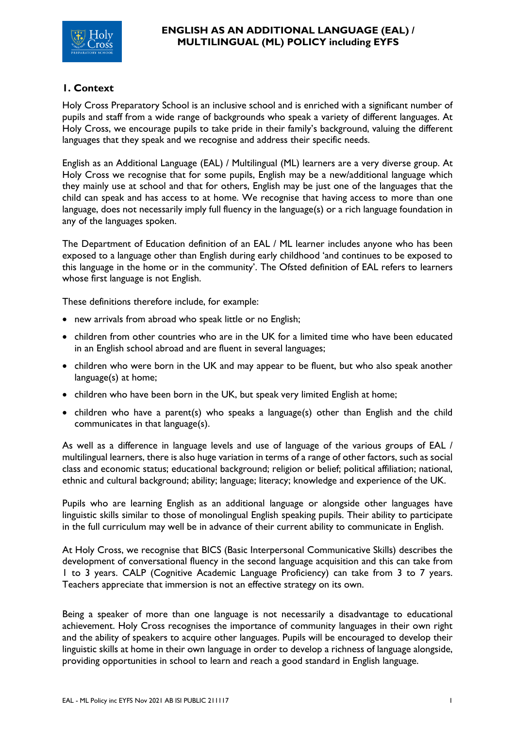

# **1. Context**

Holy Cross Preparatory School is an inclusive school and is enriched with a significant number of pupils and staff from a wide range of backgrounds who speak a variety of different languages. At Holy Cross, we encourage pupils to take pride in their family's background, valuing the different languages that they speak and we recognise and address their specific needs.

English as an Additional Language (EAL) / Multilingual (ML) learners are a very diverse group. At Holy Cross we recognise that for some pupils, English may be a new/additional language which they mainly use at school and that for others, English may be just one of the languages that the child can speak and has access to at home. We recognise that having access to more than one language, does not necessarily imply full fluency in the language(s) or a rich language foundation in any of the languages spoken.

The Department of Education definition of an EAL / ML learner includes anyone who has been exposed to a language other than English during early childhood 'and continues to be exposed to this language in the home or in the community'. The Ofsted definition of EAL refers to learners whose first language is not English.

These definitions therefore include, for example:

- new arrivals from abroad who speak little or no English;
- children from other countries who are in the UK for a limited time who have been educated in an English school abroad and are fluent in several languages;
- children who were born in the UK and may appear to be fluent, but who also speak another language(s) at home;
- children who have been born in the UK, but speak very limited English at home;
- children who have a parent(s) who speaks a language(s) other than English and the child communicates in that language(s).

As well as a difference in language levels and use of language of the various groups of EAL / multilingual learners, there is also huge variation in terms of a range of other factors, such as social class and economic status; educational background; religion or belief; political affiliation; national, ethnic and cultural background; ability; language; literacy; knowledge and experience of the UK.

Pupils who are learning English as an additional language or alongside other languages have linguistic skills similar to those of monolingual English speaking pupils. Their ability to participate in the full curriculum may well be in advance of their current ability to communicate in English.

At Holy Cross, we recognise that BICS (Basic Interpersonal Communicative Skills) describes the development of conversational fluency in the second language acquisition and this can take from 1 to 3 years. CALP (Cognitive Academic Language Proficiency) can take from 3 to 7 years. Teachers appreciate that immersion is not an effective strategy on its own.

Being a speaker of more than one language is not necessarily a disadvantage to educational achievement. Holy Cross recognises the importance of community languages in their own right and the ability of speakers to acquire other languages. Pupils will be encouraged to develop their linguistic skills at home in their own language in order to develop a richness of language alongside, providing opportunities in school to learn and reach a good standard in English language.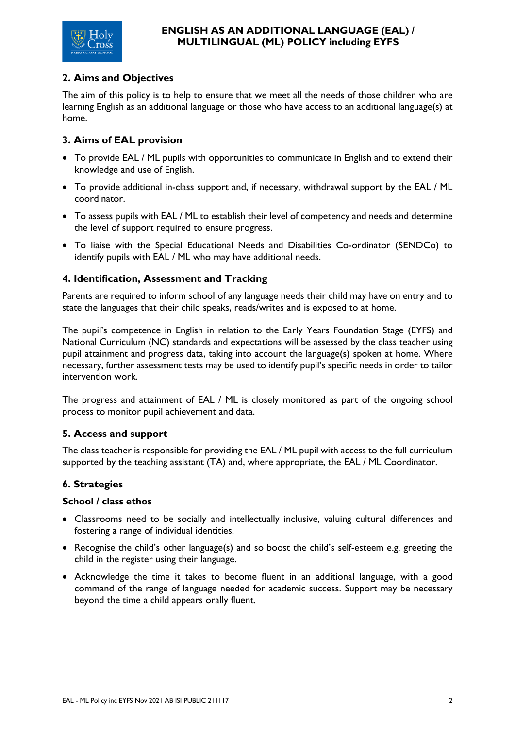

# **2. Aims and Objectives**

The aim of this policy is to help to ensure that we meet all the needs of those children who are learning English as an additional language or those who have access to an additional language(s) at home.

# **3. Aims of EAL provision**

- To provide EAL / ML pupils with opportunities to communicate in English and to extend their knowledge and use of English.
- To provide additional in-class support and, if necessary, withdrawal support by the EAL / ML coordinator.
- To assess pupils with EAL / ML to establish their level of competency and needs and determine the level of support required to ensure progress.
- To liaise with the Special Educational Needs and Disabilities Co-ordinator (SENDCo) to identify pupils with EAL / ML who may have additional needs.

### **4. Identification, Assessment and Tracking**

Parents are required to inform school of any language needs their child may have on entry and to state the languages that their child speaks, reads/writes and is exposed to at home.

The pupil's competence in English in relation to the Early Years Foundation Stage (EYFS) and National Curriculum (NC) standards and expectations will be assessed by the class teacher using pupil attainment and progress data, taking into account the language(s) spoken at home. Where necessary, further assessment tests may be used to identify pupil's specific needs in order to tailor intervention work.

The progress and attainment of EAL / ML is closely monitored as part of the ongoing school process to monitor pupil achievement and data.

### **5. Access and support**

The class teacher is responsible for providing the EAL / ML pupil with access to the full curriculum supported by the teaching assistant (TA) and, where appropriate, the EAL / ML Coordinator.

### **6. Strategies**

#### **School / class ethos**

- Classrooms need to be socially and intellectually inclusive, valuing cultural differences and fostering a range of individual identities.
- Recognise the child's other language(s) and so boost the child's self-esteem e.g. greeting the child in the register using their language.
- Acknowledge the time it takes to become fluent in an additional language, with a good command of the range of language needed for academic success. Support may be necessary beyond the time a child appears orally fluent.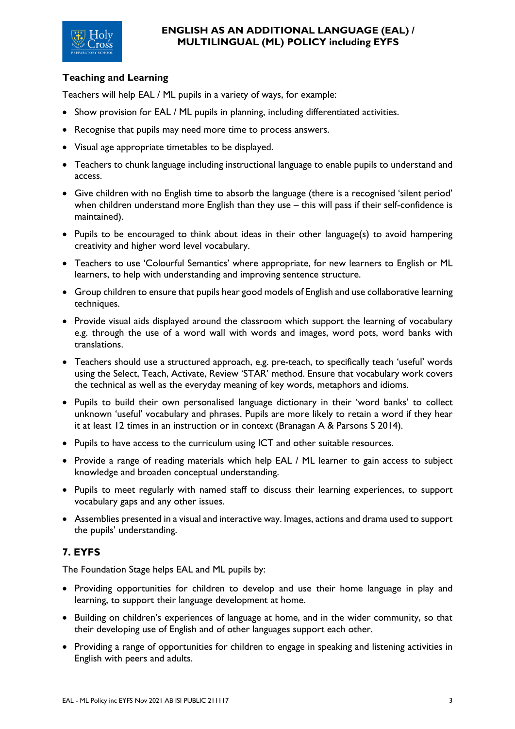

# **Teaching and Learning**

Teachers will help EAL / ML pupils in a variety of ways, for example:

- Show provision for EAL / ML pupils in planning, including differentiated activities.
- Recognise that pupils may need more time to process answers.
- Visual age appropriate timetables to be displayed.
- Teachers to chunk language including instructional language to enable pupils to understand and access.
- Give children with no English time to absorb the language (there is a recognised 'silent period' when children understand more English than they use – this will pass if their self-confidence is maintained).
- Pupils to be encouraged to think about ideas in their other language(s) to avoid hampering creativity and higher word level vocabulary.
- Teachers to use 'Colourful Semantics' where appropriate, for new learners to English or ML learners, to help with understanding and improving sentence structure.
- Group children to ensure that pupils hear good models of English and use collaborative learning techniques.
- Provide visual aids displayed around the classroom which support the learning of vocabulary e.g. through the use of a word wall with words and images, word pots, word banks with translations.
- Teachers should use a structured approach, e.g. pre-teach, to specifically teach 'useful' words using the Select, Teach, Activate, Review 'STAR' method. Ensure that vocabulary work covers the technical as well as the everyday meaning of key words, metaphors and idioms.
- Pupils to build their own personalised language dictionary in their 'word banks' to collect unknown 'useful' vocabulary and phrases. Pupils are more likely to retain a word if they hear it at least 12 times in an instruction or in context (Branagan A & Parsons S 2014).
- Pupils to have access to the curriculum using ICT and other suitable resources.
- Provide a range of reading materials which help EAL / ML learner to gain access to subject knowledge and broaden conceptual understanding.
- Pupils to meet regularly with named staff to discuss their learning experiences, to support vocabulary gaps and any other issues.
- Assemblies presented in a visual and interactive way. Images, actions and drama used to support the pupils' understanding.

# **7. EYFS**

The Foundation Stage helps EAL and ML pupils by:

- Providing opportunities for children to develop and use their home language in play and learning, to support their language development at home.
- Building on children's experiences of language at home, and in the wider community, so that their developing use of English and of other languages support each other.
- Providing a range of opportunities for children to engage in speaking and listening activities in English with peers and adults.